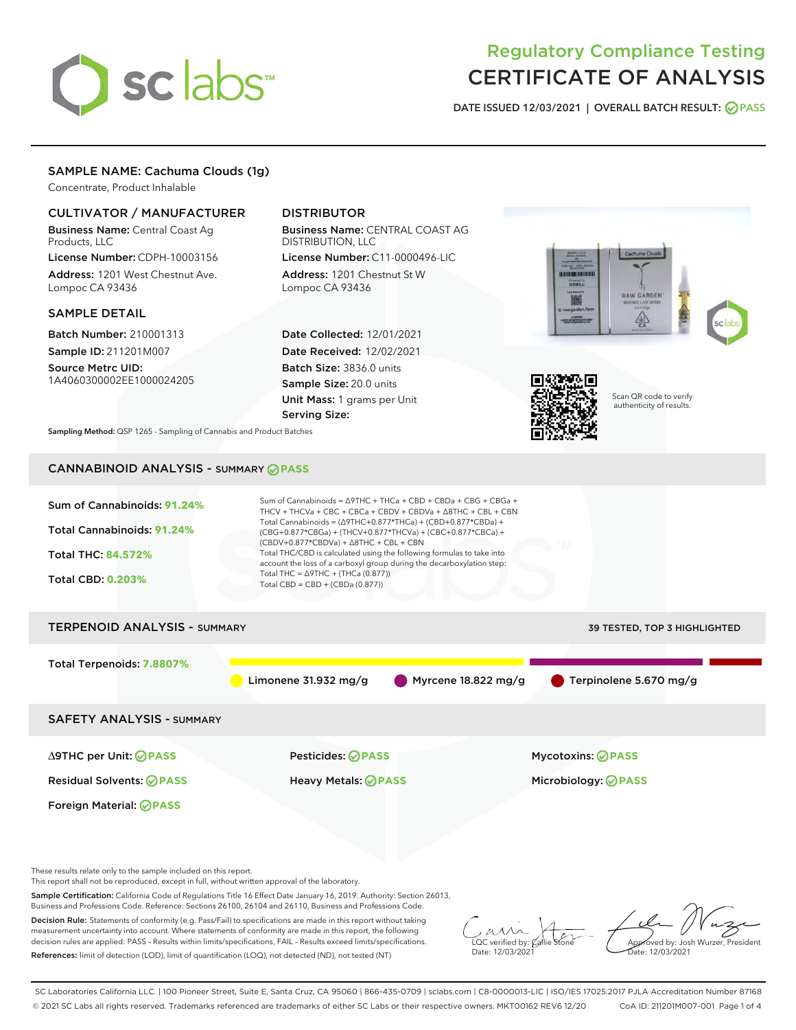# sclabs<sup>\*</sup>

# Regulatory Compliance Testing CERTIFICATE OF ANALYSIS

DATE ISSUED 12/03/2021 | OVERALL BATCH RESULT: @ PASS

# SAMPLE NAME: Cachuma Clouds (1g)

Concentrate, Product Inhalable

# CULTIVATOR / MANUFACTURER

Business Name: Central Coast Ag Products, LLC

License Number: CDPH-10003156 Address: 1201 West Chestnut Ave. Lompoc CA 93436

### SAMPLE DETAIL

Batch Number: 210001313 Sample ID: 211201M007

Source Metrc UID: 1A4060300002EE1000024205

# DISTRIBUTOR

Business Name: CENTRAL COAST AG DISTRIBUTION, LLC

License Number: C11-0000496-LIC Address: 1201 Chestnut St W Lompoc CA 93436

Date Collected: 12/01/2021 Date Received: 12/02/2021 Batch Size: 3836.0 units Sample Size: 20.0 units Unit Mass: 1 grams per Unit Serving Size:





Scan QR code to verify authenticity of results.

Sampling Method: QSP 1265 - Sampling of Cannabis and Product Batches

# CANNABINOID ANALYSIS - SUMMARY **PASS**



These results relate only to the sample included on this report.

This report shall not be reproduced, except in full, without written approval of the laboratory.

Sample Certification: California Code of Regulations Title 16 Effect Date January 16, 2019. Authority: Section 26013, Business and Professions Code. Reference: Sections 26100, 26104 and 26110, Business and Professions Code.

Decision Rule: Statements of conformity (e.g. Pass/Fail) to specifications are made in this report without taking measurement uncertainty into account. Where statements of conformity are made in this report, the following decision rules are applied: PASS – Results within limits/specifications, FAIL – Results exceed limits/specifications. References: limit of detection (LOD), limit of quantification (LOQ), not detected (ND), not tested (NT)

 $\overline{\text{C}}$  verified by:  $\mathcal C$ Date: 12/03/2021

Approved by: Josh Wurzer, President ate: 12/03/2021

SC Laboratories California LLC. | 100 Pioneer Street, Suite E, Santa Cruz, CA 95060 | 866-435-0709 | sclabs.com | C8-0000013-LIC | ISO/IES 17025:2017 PJLA Accreditation Number 87168 © 2021 SC Labs all rights reserved. Trademarks referenced are trademarks of either SC Labs or their respective owners. MKT00162 REV6 12/20 CoA ID: 211201M007-001 Page 1 of 4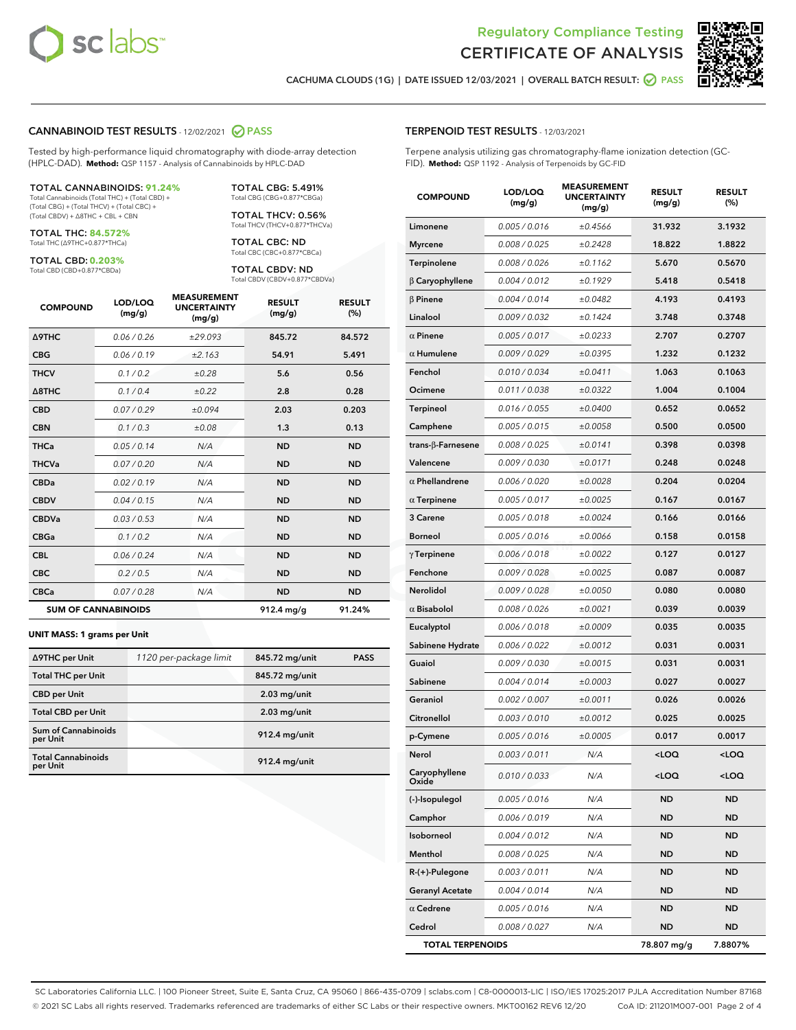



CACHUMA CLOUDS (1G) | DATE ISSUED 12/03/2021 | OVERALL BATCH RESULT: @ PASS

#### CANNABINOID TEST RESULTS - 12/02/2021 2 PASS

Tested by high-performance liquid chromatography with diode-array detection (HPLC-DAD). **Method:** QSP 1157 - Analysis of Cannabinoids by HPLC-DAD

#### TOTAL CANNABINOIDS: **91.24%**

Total Cannabinoids (Total THC) + (Total CBD) + (Total CBG) + (Total THCV) + (Total CBC) + (Total CBDV) + ∆8THC + CBL + CBN

TOTAL THC: **84.572%** Total THC (∆9THC+0.877\*THCa)

TOTAL CBD: **0.203%**

Total CBD (CBD+0.877\*CBDa)

TOTAL CBG: 5.491% Total CBG (CBG+0.877\*CBGa)

TOTAL THCV: 0.56% Total THCV (THCV+0.877\*THCVa)

TOTAL CBC: ND Total CBC (CBC+0.877\*CBCa)

TOTAL CBDV: ND Total CBDV (CBDV+0.877\*CBDVa)

| <b>COMPOUND</b>            | LOD/LOQ<br>(mg/g) | <b>MEASUREMENT</b><br><b>UNCERTAINTY</b><br>(mg/g) | <b>RESULT</b><br>(mg/g) | <b>RESULT</b><br>(%) |
|----------------------------|-------------------|----------------------------------------------------|-------------------------|----------------------|
| <b>A9THC</b>               | 0.06/0.26         | ±29.093                                            | 845.72                  | 84.572               |
| <b>CBG</b>                 | 0.06/0.19         | ±2.163                                             | 54.91                   | 5.491                |
| <b>THCV</b>                | 0.1/0.2           | ±0.28                                              | 5.6                     | 0.56                 |
| $\triangle$ 8THC           | 0.1/0.4           | ±0.22                                              | 2.8                     | 0.28                 |
| <b>CBD</b>                 | 0.07/0.29         | ±0.094                                             | 2.03                    | 0.203                |
| <b>CBN</b>                 | 0.1/0.3           | ±0.08                                              | 1.3                     | 0.13                 |
| <b>THCa</b>                | 0.05/0.14         | N/A                                                | <b>ND</b>               | <b>ND</b>            |
| <b>THCVa</b>               | 0.07/0.20         | N/A                                                | <b>ND</b>               | <b>ND</b>            |
| <b>CBDa</b>                | 0.02/0.19         | N/A                                                | <b>ND</b>               | <b>ND</b>            |
| <b>CBDV</b>                | 0.04 / 0.15       | N/A                                                | <b>ND</b>               | <b>ND</b>            |
| <b>CBDVa</b>               | 0.03/0.53         | N/A                                                | <b>ND</b>               | <b>ND</b>            |
| <b>CBGa</b>                | 0.1/0.2           | N/A                                                | <b>ND</b>               | <b>ND</b>            |
| <b>CBL</b>                 | 0.06 / 0.24       | N/A                                                | <b>ND</b>               | <b>ND</b>            |
| <b>CBC</b>                 | 0.2 / 0.5         | N/A                                                | <b>ND</b>               | <b>ND</b>            |
| <b>CBCa</b>                | 0.07/0.28         | N/A                                                | <b>ND</b>               | <b>ND</b>            |
| <b>SUM OF CANNABINOIDS</b> |                   |                                                    | $912.4 \text{ mg/g}$    | 91.24%               |

#### **UNIT MASS: 1 grams per Unit**

| ∆9THC per Unit                         | 1120 per-package limit | 845.72 mg/unit | <b>PASS</b> |
|----------------------------------------|------------------------|----------------|-------------|
| <b>Total THC per Unit</b>              |                        | 845.72 mg/unit |             |
| <b>CBD</b> per Unit                    |                        | $2.03$ mg/unit |             |
| <b>Total CBD per Unit</b>              |                        | $2.03$ mg/unit |             |
| <b>Sum of Cannabinoids</b><br>per Unit |                        | 912.4 mg/unit  |             |
| <b>Total Cannabinoids</b><br>per Unit  |                        | 912.4 mg/unit  |             |

#### TERPENOID TEST RESULTS - 12/03/2021

Terpene analysis utilizing gas chromatography-flame ionization detection (GC-FID). **Method:** QSP 1192 - Analysis of Terpenoids by GC-FID

| <b>COMPOUND</b>           | LOD/LOQ<br>(mg/g) | <b>MEASUREMENT</b><br><b>UNCERTAINTY</b><br>(mg/g) | <b>RESULT</b><br>(mg/g)                         | <b>RESULT</b><br>(%) |
|---------------------------|-------------------|----------------------------------------------------|-------------------------------------------------|----------------------|
| Limonene                  | 0.005 / 0.016     | ±0.4566                                            | 31.932                                          | 3.1932               |
| <b>Myrcene</b>            | 0.008 / 0.025     | ±0.2428                                            | 18.822                                          | 1.8822               |
| Terpinolene               | 0.008 / 0.026     | ±0.1162                                            | 5.670                                           | 0.5670               |
| $\beta$ Caryophyllene     | 0.004 / 0.012     | ±0.1929                                            | 5.418                                           | 0.5418               |
| $\beta$ Pinene            | 0.004 / 0.014     | ±0.0482                                            | 4.193                                           | 0.4193               |
| Linalool                  | 0.009 / 0.032     | ±0.1424                                            | 3.748                                           | 0.3748               |
| $\alpha$ Pinene           | 0.005 / 0.017     | ±0.0233                                            | 2.707                                           | 0.2707               |
| $\alpha$ Humulene         | 0.009/0.029       | ±0.0395                                            | 1.232                                           | 0.1232               |
| Fenchol                   | 0.010 / 0.034     | ±0.0411                                            | 1.063                                           | 0.1063               |
| Ocimene                   | 0.011 / 0.038     | ±0.0322                                            | 1.004                                           | 0.1004               |
| Terpineol                 | 0.016 / 0.055     | ±0.0400                                            | 0.652                                           | 0.0652               |
| Camphene                  | 0.005 / 0.015     | ±0.0058                                            | 0.500                                           | 0.0500               |
| trans- $\beta$ -Farnesene | 0.008 / 0.025     | ±0.0141                                            | 0.398                                           | 0.0398               |
| Valencene                 | 0.009 / 0.030     | ±0.0171                                            | 0.248                                           | 0.0248               |
| $\alpha$ Phellandrene     | 0.006 / 0.020     | ±0.0028                                            | 0.204                                           | 0.0204               |
| $\alpha$ Terpinene        | 0.005 / 0.017     | ±0.0025                                            | 0.167                                           | 0.0167               |
| 3 Carene                  | 0.005 / 0.018     | ±0.0024                                            | 0.166                                           | 0.0166               |
| <b>Borneol</b>            | 0.005 / 0.016     | ±0.0066                                            | 0.158                                           | 0.0158               |
| $\gamma$ Terpinene        | 0.006 / 0.018     | ±0.0022                                            | 0.127                                           | 0.0127               |
| Fenchone                  | 0.009 / 0.028     | ±0.0025                                            | 0.087                                           | 0.0087               |
| Nerolidol                 | 0.009 / 0.028     | ±0.0050                                            | 0.080                                           | 0.0080               |
| $\alpha$ Bisabolol        | 0.008 / 0.026     | ±0.0021                                            | 0.039                                           | 0.0039               |
| Eucalyptol                | 0.006 / 0.018     | ±0.0009                                            | 0.035                                           | 0.0035               |
| Sabinene Hydrate          | 0.006 / 0.022     | ±0.0012                                            | 0.031                                           | 0.0031               |
| Guaiol                    | 0.009 / 0.030     | ±0.0015                                            | 0.031                                           | 0.0031               |
| Sabinene                  | 0.004 / 0.014     | ±0.0003                                            | 0.027                                           | 0.0027               |
| Geraniol                  | 0.002 / 0.007     | ±0.0011                                            | 0.026                                           | 0.0026               |
| Citronellol               | 0.003 / 0.010     | ±0.0012                                            | 0.025                                           | 0.0025               |
| p-Cymene                  | 0.005 / 0.016     | ±0.0005                                            | 0.017                                           | 0.0017               |
| Nerol                     | 0.003 / 0.011     | N/A                                                | <loq< th=""><th><loq< th=""></loq<></th></loq<> | <loq< th=""></loq<>  |
| Caryophyllene<br>Oxide    | 0.010 / 0.033     | N/A                                                | <loq< th=""><th><loq< th=""></loq<></th></loq<> | <loq< th=""></loq<>  |
| (-)-Isopulegol            | 0.005 / 0.016     | N/A                                                | ND                                              | <b>ND</b>            |
| Camphor                   | 0.006 / 0.019     | N/A                                                | ND                                              | <b>ND</b>            |
| Isoborneol                | 0.004 / 0.012     | N/A                                                | ND                                              | ND                   |
| Menthol                   | 0.008 / 0.025     | N/A                                                | ND                                              | ND                   |
| $R-(+)$ -Pulegone         | 0.003 / 0.011     | N/A                                                | ND                                              | ND                   |
| <b>Geranyl Acetate</b>    | 0.004 / 0.014     | N/A                                                | ND                                              | ND                   |
| $\alpha$ Cedrene          | 0.005 / 0.016     | N/A                                                | ND                                              | ND                   |
| Cedrol                    | 0.008 / 0.027     | N/A                                                | <b>ND</b>                                       | ND                   |
| <b>TOTAL TERPENOIDS</b>   |                   |                                                    | 78.807 mg/g                                     | 7.8807%              |

SC Laboratories California LLC. | 100 Pioneer Street, Suite E, Santa Cruz, CA 95060 | 866-435-0709 | sclabs.com | C8-0000013-LIC | ISO/IES 17025:2017 PJLA Accreditation Number 87168 © 2021 SC Labs all rights reserved. Trademarks referenced are trademarks of either SC Labs or their respective owners. MKT00162 REV6 12/20 CoA ID: 211201M007-001 Page 2 of 4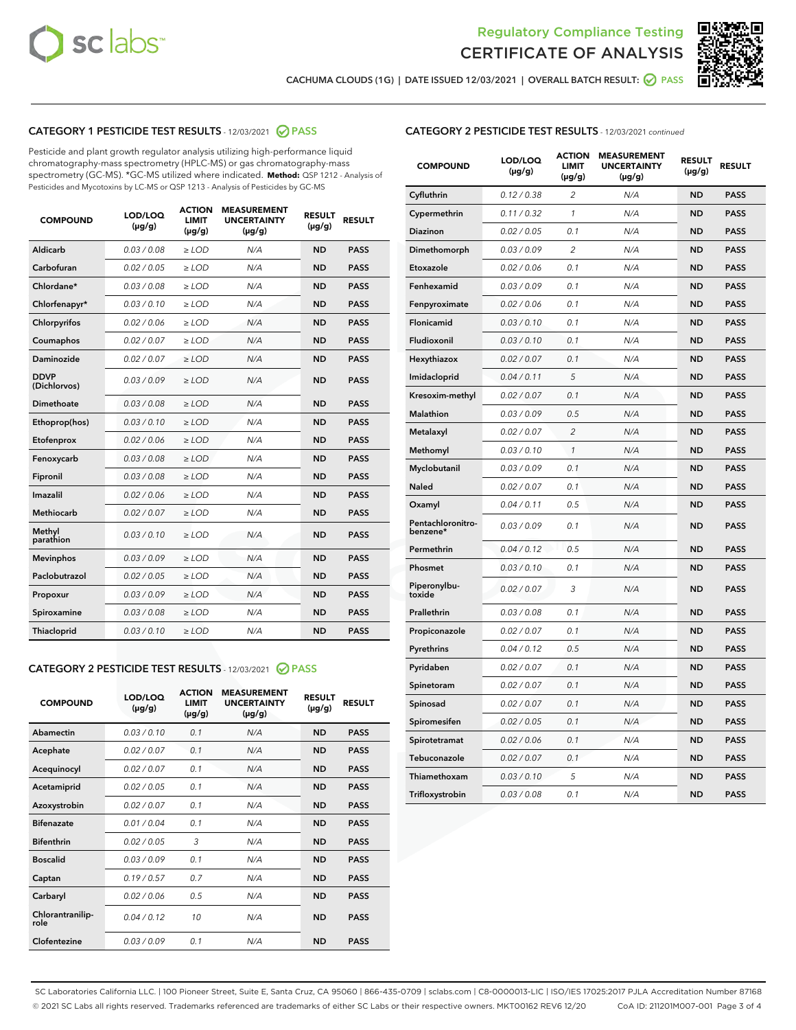



CACHUMA CLOUDS (1G) | DATE ISSUED 12/03/2021 | OVERALL BATCH RESULT: ◯ PASS

# CATEGORY 1 PESTICIDE TEST RESULTS - 12/03/2021 2 PASS

Pesticide and plant growth regulator analysis utilizing high-performance liquid chromatography-mass spectrometry (HPLC-MS) or gas chromatography-mass spectrometry (GC-MS). \*GC-MS utilized where indicated. **Method:** QSP 1212 - Analysis of Pesticides and Mycotoxins by LC-MS or QSP 1213 - Analysis of Pesticides by GC-MS

| <b>COMPOUND</b>             | LOD/LOQ<br>$(\mu g/g)$ | <b>ACTION</b><br><b>LIMIT</b><br>$(\mu g/g)$ | <b>MEASUREMENT</b><br><b>UNCERTAINTY</b><br>$(\mu g/g)$ | <b>RESULT</b><br>$(\mu g/g)$ | <b>RESULT</b> |
|-----------------------------|------------------------|----------------------------------------------|---------------------------------------------------------|------------------------------|---------------|
| Aldicarb                    | 0.03 / 0.08            | $\ge$ LOD                                    | N/A                                                     | <b>ND</b>                    | <b>PASS</b>   |
| Carbofuran                  | 0.02/0.05              | $>$ LOD                                      | N/A                                                     | <b>ND</b>                    | <b>PASS</b>   |
| Chlordane*                  | 0.03 / 0.08            | $\geq$ LOD                                   | N/A                                                     | <b>ND</b>                    | <b>PASS</b>   |
| Chlorfenapyr*               | 0.03/0.10              | $\geq$ LOD                                   | N/A                                                     | <b>ND</b>                    | <b>PASS</b>   |
| Chlorpyrifos                | 0.02 / 0.06            | $\ge$ LOD                                    | N/A                                                     | <b>ND</b>                    | <b>PASS</b>   |
| Coumaphos                   | 0.02 / 0.07            | $\ge$ LOD                                    | N/A                                                     | <b>ND</b>                    | <b>PASS</b>   |
| Daminozide                  | 0.02/0.07              | $>$ LOD                                      | N/A                                                     | <b>ND</b>                    | <b>PASS</b>   |
| <b>DDVP</b><br>(Dichlorvos) | 0.03/0.09              | $\ge$ LOD                                    | N/A                                                     | <b>ND</b>                    | <b>PASS</b>   |
| Dimethoate                  | 0.03 / 0.08            | $\ge$ LOD                                    | N/A                                                     | <b>ND</b>                    | <b>PASS</b>   |
| Ethoprop(hos)               | 0.03/0.10              | $>$ LOD                                      | N/A                                                     | <b>ND</b>                    | <b>PASS</b>   |
| Etofenprox                  | 0.02 / 0.06            | $\ge$ LOD                                    | N/A                                                     | <b>ND</b>                    | <b>PASS</b>   |
| Fenoxycarb                  | 0.03 / 0.08            | $\ge$ LOD                                    | N/A                                                     | <b>ND</b>                    | <b>PASS</b>   |
| Fipronil                    | 0.03/0.08              | $\ge$ LOD                                    | N/A                                                     | <b>ND</b>                    | <b>PASS</b>   |
| Imazalil                    | 0.02 / 0.06            | $\ge$ LOD                                    | N/A                                                     | <b>ND</b>                    | <b>PASS</b>   |
| <b>Methiocarb</b>           | 0.02 / 0.07            | $\ge$ LOD                                    | N/A                                                     | <b>ND</b>                    | <b>PASS</b>   |
| Methyl<br>parathion         | 0.03/0.10              | $\ge$ LOD                                    | N/A                                                     | <b>ND</b>                    | <b>PASS</b>   |
| <b>Mevinphos</b>            | 0.03/0.09              | $>$ LOD                                      | N/A                                                     | <b>ND</b>                    | <b>PASS</b>   |
| Paclobutrazol               | 0.02 / 0.05            | $\ge$ LOD                                    | N/A                                                     | <b>ND</b>                    | <b>PASS</b>   |
| Propoxur                    | 0.03/0.09              | $\ge$ LOD                                    | N/A                                                     | <b>ND</b>                    | <b>PASS</b>   |
| Spiroxamine                 | 0.03 / 0.08            | $\ge$ LOD                                    | N/A                                                     | <b>ND</b>                    | <b>PASS</b>   |
| Thiacloprid                 | 0.03/0.10              | $\ge$ LOD                                    | N/A                                                     | <b>ND</b>                    | <b>PASS</b>   |

#### CATEGORY 2 PESTICIDE TEST RESULTS - 12/03/2021 @ PASS

| <b>COMPOUND</b>          | LOD/LOO<br>$(\mu g/g)$ | <b>ACTION</b><br>LIMIT<br>$(\mu g/g)$ | <b>MEASUREMENT</b><br><b>UNCERTAINTY</b><br>$(\mu g/g)$ | <b>RESULT</b><br>$(\mu g/g)$ | <b>RESULT</b> |  |
|--------------------------|------------------------|---------------------------------------|---------------------------------------------------------|------------------------------|---------------|--|
| Abamectin                | 0.03/0.10              | 0.1                                   | N/A                                                     | <b>ND</b>                    | <b>PASS</b>   |  |
| Acephate                 | 0.02/0.07              | 0.1                                   | N/A                                                     | <b>ND</b>                    | <b>PASS</b>   |  |
| Acequinocyl              | 0.02/0.07              | 0.1                                   | N/A                                                     | <b>ND</b>                    | <b>PASS</b>   |  |
| Acetamiprid              | 0.02 / 0.05            | 0.1                                   | N/A                                                     | <b>ND</b>                    | <b>PASS</b>   |  |
| Azoxystrobin             | 0.02/0.07              | 0.1                                   | N/A                                                     | <b>ND</b>                    | <b>PASS</b>   |  |
| <b>Bifenazate</b>        | 0.01 / 0.04            | 0.1                                   | N/A                                                     | <b>ND</b>                    | <b>PASS</b>   |  |
| <b>Bifenthrin</b>        | 0.02/0.05              | 3                                     | N/A                                                     | <b>ND</b>                    | <b>PASS</b>   |  |
| <b>Boscalid</b>          | 0.03/0.09              | 0.1                                   | N/A                                                     | <b>ND</b>                    | <b>PASS</b>   |  |
| Captan                   | 0.19/0.57              | 0.7                                   | N/A                                                     | <b>ND</b>                    | <b>PASS</b>   |  |
| Carbaryl                 | 0.02/0.06              | 0.5                                   | N/A                                                     | <b>ND</b>                    | <b>PASS</b>   |  |
| Chlorantranilip-<br>role | 0.04/0.12              | 10                                    | N/A                                                     | <b>ND</b>                    | <b>PASS</b>   |  |
| Clofentezine             | 0.03/0.09              | 0.1                                   | N/A                                                     | <b>ND</b>                    | <b>PASS</b>   |  |

| <b>COMPOUND</b>               | LOD/LOQ<br>(µg/g) | <b>ACTION</b><br><b>LIMIT</b><br>$(\mu g/g)$ | <b>MEASUREMENT</b><br><b>UNCERTAINTY</b><br>$(\mu g/g)$ | <b>RESULT</b><br>(µg/g) | <b>RESULT</b> |
|-------------------------------|-------------------|----------------------------------------------|---------------------------------------------------------|-------------------------|---------------|
| Cyfluthrin                    | 0.12 / 0.38       | $\overline{c}$                               | N/A                                                     | ND                      | <b>PASS</b>   |
| Cypermethrin                  | 0.11 / 0.32       | $\mathcal{I}$                                | N/A                                                     | ND                      | <b>PASS</b>   |
| <b>Diazinon</b>               | 0.02 / 0.05       | 0.1                                          | N/A                                                     | <b>ND</b>               | <b>PASS</b>   |
| Dimethomorph                  | 0.03 / 0.09       | 2                                            | N/A                                                     | ND                      | <b>PASS</b>   |
| Etoxazole                     | 0.02 / 0.06       | 0.1                                          | N/A                                                     | ND                      | <b>PASS</b>   |
| Fenhexamid                    | 0.03 / 0.09       | 0.1                                          | N/A                                                     | ND                      | <b>PASS</b>   |
| Fenpyroximate                 | 0.02 / 0.06       | 0.1                                          | N/A                                                     | <b>ND</b>               | <b>PASS</b>   |
| Flonicamid                    | 0.03 / 0.10       | 0.1                                          | N/A                                                     | ND                      | <b>PASS</b>   |
| Fludioxonil                   | 0.03 / 0.10       | 0.1                                          | N/A                                                     | ND                      | <b>PASS</b>   |
| Hexythiazox                   | 0.02 / 0.07       | 0.1                                          | N/A                                                     | ND                      | <b>PASS</b>   |
| Imidacloprid                  | 0.04 / 0.11       | 5                                            | N/A                                                     | ND                      | <b>PASS</b>   |
| Kresoxim-methyl               | 0.02 / 0.07       | 0.1                                          | N/A                                                     | ND                      | <b>PASS</b>   |
| <b>Malathion</b>              | 0.03 / 0.09       | 0.5                                          | N/A                                                     | <b>ND</b>               | <b>PASS</b>   |
| Metalaxyl                     | 0.02 / 0.07       | $\overline{c}$                               | N/A                                                     | <b>ND</b>               | <b>PASS</b>   |
| Methomyl                      | 0.03 / 0.10       | $\mathcal{I}$                                | N/A                                                     | <b>ND</b>               | <b>PASS</b>   |
| Myclobutanil                  | 0.03 / 0.09       | 0.1                                          | N/A                                                     | <b>ND</b>               | <b>PASS</b>   |
| Naled                         | 0.02 / 0.07       | 0.1                                          | N/A                                                     | <b>ND</b>               | <b>PASS</b>   |
| Oxamyl                        | 0.04 / 0.11       | 0.5                                          | N/A                                                     | <b>ND</b>               | <b>PASS</b>   |
| Pentachloronitro-<br>benzene* | 0.03 / 0.09       | 0.1                                          | N/A                                                     | <b>ND</b>               | <b>PASS</b>   |
| Permethrin                    | 0.04 / 0.12       | 0.5                                          | N/A                                                     | <b>ND</b>               | <b>PASS</b>   |
| Phosmet                       | 0.03 / 0.10       | 0.1                                          | N/A                                                     | <b>ND</b>               | <b>PASS</b>   |
| Piperonylbu-<br>toxide        | 0.02 / 0.07       | 3                                            | N/A                                                     | <b>ND</b>               | <b>PASS</b>   |
| Prallethrin                   | 0.03 / 0.08       | 0.1                                          | N/A                                                     | ND                      | <b>PASS</b>   |
| Propiconazole                 | 0.02 / 0.07       | 0.1                                          | N/A                                                     | <b>ND</b>               | <b>PASS</b>   |
| Pyrethrins                    | 0.04 / 0.12       | 0.5                                          | N/A                                                     | ND                      | <b>PASS</b>   |
| Pyridaben                     | 0.02 / 0.07       | 0.1                                          | N/A                                                     | ND                      | <b>PASS</b>   |
| Spinetoram                    | 0.02 / 0.07       | 0.1                                          | N/A                                                     | <b>ND</b>               | <b>PASS</b>   |
| Spinosad                      | 0.02 / 0.07       | 0.1                                          | N/A                                                     | <b>ND</b>               | <b>PASS</b>   |
| Spiromesifen                  | 0.02 / 0.05       | 0.1                                          | N/A                                                     | ND                      | <b>PASS</b>   |
| Spirotetramat                 | 0.02 / 0.06       | 0.1                                          | N/A                                                     | <b>ND</b>               | <b>PASS</b>   |
| Tebuconazole                  | 0.02 / 0.07       | 0.1                                          | N/A                                                     | ND                      | <b>PASS</b>   |
| Thiamethoxam                  | 0.03 / 0.10       | 5                                            | N/A                                                     | ND                      | <b>PASS</b>   |
| Trifloxystrobin               | 0.03 / 0.08       | 0.1                                          | N/A                                                     | ND                      | <b>PASS</b>   |

SC Laboratories California LLC. | 100 Pioneer Street, Suite E, Santa Cruz, CA 95060 | 866-435-0709 | sclabs.com | C8-0000013-LIC | ISO/IES 17025:2017 PJLA Accreditation Number 87168 © 2021 SC Labs all rights reserved. Trademarks referenced are trademarks of either SC Labs or their respective owners. MKT00162 REV6 12/20 CoA ID: 211201M007-001 Page 3 of 4